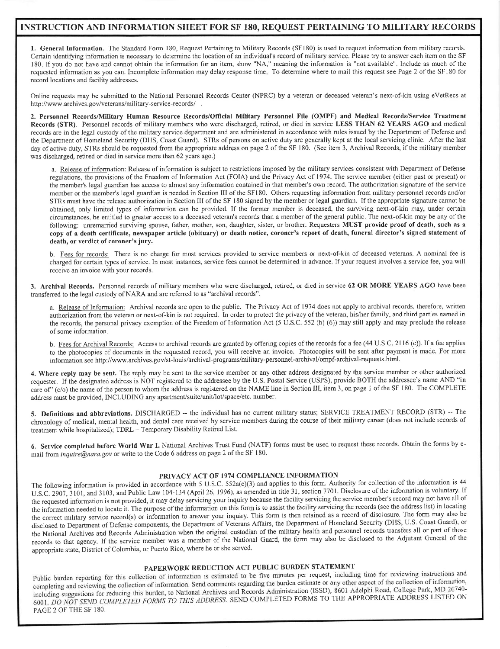## INSTRUCTION AND INFORMATION SHEET FOR SF 180, REQUEST PERTAINING TO MILITARY RECORDS

1. General Information. The Standard Form 180, Request Pertaining to Military Records (SF180) is used to request information from military records. Certain identifuing information is necessary to determine the location of an individual's record of military service. Please try to answer each item on the SF 180 If you do not have and cannot obtain the information for an item, show "NA," meaning the information is "not available". Include as much of the requested information as you can. Incomplete information may delay response time. To determine where to mail this request see Page 2 of the SF180 for record locations and facility addresses.

Online requests may be submitted to the National Personnel Records Center (NPRC) by a veteran or deceased veteran's next-of-kin using eVetRecs at http ://www.archives. gov/veterans/military-seruice-records/

2. Personnel Records/Military Human Resource Records/Official Military Personnel File (OMPF) and Medical Records/Service Treatment Records (STR). Personnel records of military members who were discharged, retired, or died in seruice LESS THAN 62 YEARS AGO and medical records are in the legal custody of the military service department and are administered in accordance with rules issued by the Department of Defense and the Department of Homeland Security (DHS, Coast Guard). STRs of persons on active duty are generally kept at the local servicing clinic. After the last day of active duty, STRs should be requested from the appropriate address on page 2 of the SF 180. (See item 3, Archival Records, if the military member was discharged, retited or died in service more than 62 years ago.)

a. Release of information: Release of information is subject to restrictions imposed by the military services consistent with Department of Defense regulations, the provisions of the Freedom of Information Act (FOIA) and the Privacy Act of 1974. The service member (either past or present) or the member's legal guardian has access to almost any information contained in that member's own record. The authorization signature of the service member or the member's legal guardian is needed in Section III of the SF180. Others requesting information from military personnel records and/or STRs must have the release authorization in Section III of the SF I 80 signed by the member or legal guardian. If the appropriate signature cannot be obtained, only limited types of information can be provided. If the former member is deceased, the surviving next-of-kin may, under ceftain circumstances, be entitled to greater access to a deceased veteran's records than a member ofthe general public The next-of-kin may be any ofthe following: unremarried surviving spouse, father, mother, son, daughter, sister, or brother. Requesters MUST provide proof of death, such as a copy of a death certificate, newspaper article (obituary) or death notice, coroner's report of death, funeral director's signed statement of death, or verdict of coroner's jury.

b. Fees for records: There is no charge for most services provided to service members or next-of-kin of deceased veterans. A nominal fee is charged for certain types of service. In most instances, service fees cannot be determined in advance. If your request involves a service fee, you will receive an invoice with your records.

3. Archival Records. Personnel records of military members who were discharged, retired, or died in service 62 OR MORE YEARS AGO have been transferred to the legal custody ofNARA and are referred to as "archival records".

a. Release of Information: Archival records are open to the public. The Privacy Act of 1974 does not apply to archival records, therefore, written authorization from the veteran or next-of-kin is not required. In order to protect the privacy of the veteran, his/her family, and third parties named in the records, the personal privacy exemption of the Freedom of Information Act (5 U.S.C. 552 (b) (6) may still apply and may preclude the release of some information.

b. Fees for Archival Records: Access to archival records are granted by offering copies of the records for a fee (44 U.S.C. 2116 (c)). If a fee applies to the photocopies of documents in the requested record, you will receive an invoice. Photocopies will be sent after payrnent is made. For more information see http://www.archives.gov/st-louis/archival-programs/military-personnel-archival/ompf-archival-requests.html.

4. Where reply may be sent. The reply may be sent to the service member or any other address designated by the service member or other authorized requester. If the designated address is NOT registered to the addressee by the U.S. Postal Service (USPS), provide BOTH the addressee's narne AND "in care of" (c/o) the name of the person to whom the address is registered on the NAME line in Section III, item 3, on page 1 of the SF 180. The COMPLETE address must be provided, INCLUDING any aparlment/suite/unit/lot/space/etc. nunber.

5. Definitions and abbreviations. DISCHARGED -- the individual has no current military status; SERVICE TREATMENT RECORD (STR) -- The chronology of medical, mental health, and dental care received by service members during the course of their military career (does not include records of treatrnent while hospitalized); TDRL - Temporary Disability Retired List.

6. Service completed before World War I. National Archives Trust Fund (NATF) forms must be used to request these records. Obtain the forms by email from inquire@nara.gov or write to the Code 6 address on page 2 of the SF 180.

## PRIVACY ACT OF 1974 COMPLIANCE INFORMATION

The following information is provided in accordance with 5 U.S.C. 552a(e)(3) and applies to this form. Authority for collection of the infomration is <sup>44</sup> U.S.C. 2907, 3101, and 3103, and Public Law 104-134 (April 26, 1996), as amended in title 31, section 7701. Disclosure of the information is voluntary. If the requested information is not provided, it may delay servicing your inquiry because the facility servicing the service member's record may not have all of the information needed to locate it. The purpose of the information on this form is to assist the facility servicing the records (see the address list) in locating the correct military service record(s) or iniormation to answer your inquiry. This tbrm is then retained as a record of disclosure. The form may also be disctosed to Department of Defense components, the Department of Veterans Affairs, the Department of Homeland Security (DHS, U.S. Coast Guard), or the National Archives and Records Administration when the original custodian of the military health and personnel records transfers all or part of those records to that agency. If the service member was a member of the National Guard, the form may also be disclosed to the Adjutant General of the appropriate state, District of Columbia, or Puerto Rico, where he or she served.

## PAPERWORK REDUCTION ACT PUBLIC BURDEN STATEMENT

Public burden reporting for this collection of information is estimated to be five minutes per request, including time for reviewing instructions and completing and reviewing the collection of information. Send comments regarding the burden estimate or any other aspect of the collection of information, including suggestions for reducing this burden, to National Archives and Records Administration (ISSD), 8601 Adelphi Road, College Park, MD 20740-6001. DO NOT SEND COMPLETED FORMS TO THIS ADDRESS. SEND COMPLETED FORMS TO THE APPROPRIATE ADDRESS LISTED ON PAGE 2 OF THE SF 180.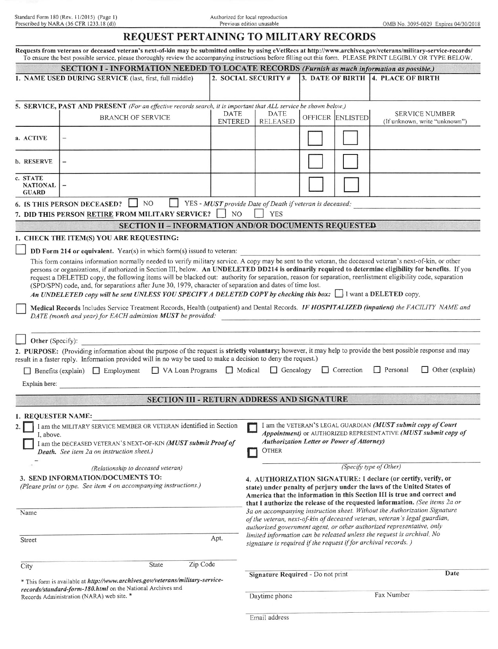|                                                                                                                                                                                                                                                                                                                                                                                                                                                                                                                                                                                                                                                                                                                          | Standard Form 180 (Rev. 11/2015) (Page 1)<br>Prescribed by NARA (36 CFR 1233.18 (d))                                                                                                                                                                                                                                                                                                                        |                               | Authorized for local reproduction<br>Previous edition unusable                                                                                                                                                                                                                                                                                                               |  |                                    |                                                              | OMB No. 3095-0029 Expires 04/30/2018                   |  |  |
|--------------------------------------------------------------------------------------------------------------------------------------------------------------------------------------------------------------------------------------------------------------------------------------------------------------------------------------------------------------------------------------------------------------------------------------------------------------------------------------------------------------------------------------------------------------------------------------------------------------------------------------------------------------------------------------------------------------------------|-------------------------------------------------------------------------------------------------------------------------------------------------------------------------------------------------------------------------------------------------------------------------------------------------------------------------------------------------------------------------------------------------------------|-------------------------------|------------------------------------------------------------------------------------------------------------------------------------------------------------------------------------------------------------------------------------------------------------------------------------------------------------------------------------------------------------------------------|--|------------------------------------|--------------------------------------------------------------|--------------------------------------------------------|--|--|
|                                                                                                                                                                                                                                                                                                                                                                                                                                                                                                                                                                                                                                                                                                                          | REQUEST PERTAINING TO MILITARY RECORDS                                                                                                                                                                                                                                                                                                                                                                      |                               |                                                                                                                                                                                                                                                                                                                                                                              |  |                                    |                                                              |                                                        |  |  |
| Requests from veterans or deceased veteran's next-of-kin may be submitted online by using eVetRecs at http://www.archives.gov/veterans/military-service-records/<br>To ensure the best possible service, please thoroughly review the accompanying instructions before filling out this form. PLEASE PRINT LEGIBLY OR TYPE BELOW.                                                                                                                                                                                                                                                                                                                                                                                        |                                                                                                                                                                                                                                                                                                                                                                                                             |                               |                                                                                                                                                                                                                                                                                                                                                                              |  |                                    |                                                              |                                                        |  |  |
|                                                                                                                                                                                                                                                                                                                                                                                                                                                                                                                                                                                                                                                                                                                          | SECTION I - INFORMATION NEEDED TO LOCATE RECORDS (Furnish as much information as possible.)                                                                                                                                                                                                                                                                                                                 |                               |                                                                                                                                                                                                                                                                                                                                                                              |  |                                    |                                                              |                                                        |  |  |
|                                                                                                                                                                                                                                                                                                                                                                                                                                                                                                                                                                                                                                                                                                                          | 1. NAME USED DURING SERVICE (last, first, full middle)                                                                                                                                                                                                                                                                                                                                                      | 2. SOCIAL SECURITY #          |                                                                                                                                                                                                                                                                                                                                                                              |  | 3. DATE OF BIRTH 4. PLACE OF BIRTH |                                                              |                                                        |  |  |
|                                                                                                                                                                                                                                                                                                                                                                                                                                                                                                                                                                                                                                                                                                                          |                                                                                                                                                                                                                                                                                                                                                                                                             |                               |                                                                                                                                                                                                                                                                                                                                                                              |  |                                    |                                                              |                                                        |  |  |
|                                                                                                                                                                                                                                                                                                                                                                                                                                                                                                                                                                                                                                                                                                                          | 5. SERVICE, PAST AND PRESENT (For an effective records search, it is important that ALL service be shown below.)                                                                                                                                                                                                                                                                                            |                               |                                                                                                                                                                                                                                                                                                                                                                              |  |                                    |                                                              |                                                        |  |  |
|                                                                                                                                                                                                                                                                                                                                                                                                                                                                                                                                                                                                                                                                                                                          | <b>BRANCH OF SERVICE</b>                                                                                                                                                                                                                                                                                                                                                                                    | <b>DATE</b><br><b>ENTERED</b> | <b>DATE</b><br><b>RELEASED</b>                                                                                                                                                                                                                                                                                                                                               |  | OFFICER ENLISTED                   |                                                              | <b>SERVICE NUMBER</b><br>(If unknown, write "unknown") |  |  |
| a. ACTIVE                                                                                                                                                                                                                                                                                                                                                                                                                                                                                                                                                                                                                                                                                                                |                                                                                                                                                                                                                                                                                                                                                                                                             |                               |                                                                                                                                                                                                                                                                                                                                                                              |  |                                    |                                                              |                                                        |  |  |
| <b>b. RESERVE</b>                                                                                                                                                                                                                                                                                                                                                                                                                                                                                                                                                                                                                                                                                                        | $\overline{\phantom{a}}$                                                                                                                                                                                                                                                                                                                                                                                    |                               |                                                                                                                                                                                                                                                                                                                                                                              |  |                                    |                                                              |                                                        |  |  |
| c. STATE<br><b>NATIONAL</b><br><b>GUARD</b>                                                                                                                                                                                                                                                                                                                                                                                                                                                                                                                                                                                                                                                                              | $\overline{\phantom{0}}$                                                                                                                                                                                                                                                                                                                                                                                    |                               |                                                                                                                                                                                                                                                                                                                                                                              |  |                                    |                                                              |                                                        |  |  |
|                                                                                                                                                                                                                                                                                                                                                                                                                                                                                                                                                                                                                                                                                                                          | 6. IS THIS PERSON DECEASED? NO<br>YES - MUST provide Date of Death if veteran is deceased:<br>NO <sub>1</sub><br>7. DID THIS PERSON RETIRE FROM MILITARY SERVICE?<br><b>YES</b>                                                                                                                                                                                                                             |                               |                                                                                                                                                                                                                                                                                                                                                                              |  |                                    |                                                              |                                                        |  |  |
|                                                                                                                                                                                                                                                                                                                                                                                                                                                                                                                                                                                                                                                                                                                          | <b>SECTION II - INFORMATION AND/OR DOCUMENTS REQUESTED</b>                                                                                                                                                                                                                                                                                                                                                  |                               |                                                                                                                                                                                                                                                                                                                                                                              |  |                                    |                                                              |                                                        |  |  |
|                                                                                                                                                                                                                                                                                                                                                                                                                                                                                                                                                                                                                                                                                                                          | 1. CHECK THE ITEM(S) YOU ARE REQUESTING:                                                                                                                                                                                                                                                                                                                                                                    |                               |                                                                                                                                                                                                                                                                                                                                                                              |  |                                    |                                                              |                                                        |  |  |
|                                                                                                                                                                                                                                                                                                                                                                                                                                                                                                                                                                                                                                                                                                                          | DD Form 214 or equivalent. Year(s) in which form(s) issued to veteran:                                                                                                                                                                                                                                                                                                                                      |                               |                                                                                                                                                                                                                                                                                                                                                                              |  |                                    |                                                              |                                                        |  |  |
| This form contains information normally needed to verify military service. A copy may be sent to the veteran, the deceased veteran's next-of-kin, or other<br>persons or organizations, if authorized in Section III, below. An UNDELETED DD214 is ordinarily required to determine eligibility for benefits. If you<br>request a DELETED copy, the following items will be blacked out: authority for separation, reason for separation, reenlistment eligibility code, separation<br>(SPD/SPN) code, and, for separations after June 30, 1979, character of separation and dates of time lost.<br>An UNDELETED copy will be sent UNLESS YOU SPECIFY A DELETED COPY by checking this box: $\Box$ I want a DELETED copy. |                                                                                                                                                                                                                                                                                                                                                                                                             |                               |                                                                                                                                                                                                                                                                                                                                                                              |  |                                    |                                                              |                                                        |  |  |
| Medical Records Includes Service Treatment Records, Health (outpatient) and Dental Records. IF HOSPITALIZED (inpatient) the FACILITY NAME and<br>DATE (month and year) for EACH admission MUST be provided:                                                                                                                                                                                                                                                                                                                                                                                                                                                                                                              |                                                                                                                                                                                                                                                                                                                                                                                                             |                               |                                                                                                                                                                                                                                                                                                                                                                              |  |                                    |                                                              |                                                        |  |  |
|                                                                                                                                                                                                                                                                                                                                                                                                                                                                                                                                                                                                                                                                                                                          | Other (Specify):                                                                                                                                                                                                                                                                                                                                                                                            |                               |                                                                                                                                                                                                                                                                                                                                                                              |  |                                    |                                                              |                                                        |  |  |
| 2. PURPOSE: (Providing information about the purpose of the request is strictly voluntary; however, it may help to provide the best possible response and may<br>result in a faster reply. Information provided will in no way be used to make a decision to deny the request.)                                                                                                                                                                                                                                                                                                                                                                                                                                          |                                                                                                                                                                                                                                                                                                                                                                                                             |                               |                                                                                                                                                                                                                                                                                                                                                                              |  |                                    |                                                              |                                                        |  |  |
| VA Loan Programs Nedical<br>Genealogy<br>$\Box$ Correction<br><b>Personal</b><br>$\Box$ Other (explain)<br>Benefits (explain) $\Box$ Employment                                                                                                                                                                                                                                                                                                                                                                                                                                                                                                                                                                          |                                                                                                                                                                                                                                                                                                                                                                                                             |                               |                                                                                                                                                                                                                                                                                                                                                                              |  |                                    |                                                              |                                                        |  |  |
| Explain here:                                                                                                                                                                                                                                                                                                                                                                                                                                                                                                                                                                                                                                                                                                            |                                                                                                                                                                                                                                                                                                                                                                                                             |                               |                                                                                                                                                                                                                                                                                                                                                                              |  |                                    |                                                              |                                                        |  |  |
|                                                                                                                                                                                                                                                                                                                                                                                                                                                                                                                                                                                                                                                                                                                          | SECTION III - RETURN ADDRESS AND SIGNATURE                                                                                                                                                                                                                                                                                                                                                                  |                               |                                                                                                                                                                                                                                                                                                                                                                              |  |                                    |                                                              |                                                        |  |  |
| 1. REQUESTER NAME:                                                                                                                                                                                                                                                                                                                                                                                                                                                                                                                                                                                                                                                                                                       |                                                                                                                                                                                                                                                                                                                                                                                                             |                               |                                                                                                                                                                                                                                                                                                                                                                              |  |                                    |                                                              |                                                        |  |  |
|                                                                                                                                                                                                                                                                                                                                                                                                                                                                                                                                                                                                                                                                                                                          | I am the MILITARY SERVICE MEMBER OR VETERAN identified in Section                                                                                                                                                                                                                                                                                                                                           |                               |                                                                                                                                                                                                                                                                                                                                                                              |  |                                    | I am the VETERAN'S LEGAL GUARDIAN (MUST submit copy of Court |                                                        |  |  |
|                                                                                                                                                                                                                                                                                                                                                                                                                                                                                                                                                                                                                                                                                                                          | Appointment) or AUTHORIZED REPRESENTATIVE (MUST submit copy of<br>I, above.<br><b>Authorization Letter or Power of Attorney)</b><br>I am the DECEASED VETERAN'S NEXT-OF-KIN (MUST submit Proof of<br><b>OTHER</b><br>Death. See item 2a on instruction sheet.)                                                                                                                                              |                               |                                                                                                                                                                                                                                                                                                                                                                              |  |                                    |                                                              |                                                        |  |  |
| (Specify type of Other)<br>(Relationship to deceased veteran)                                                                                                                                                                                                                                                                                                                                                                                                                                                                                                                                                                                                                                                            |                                                                                                                                                                                                                                                                                                                                                                                                             |                               |                                                                                                                                                                                                                                                                                                                                                                              |  |                                    |                                                              |                                                        |  |  |
|                                                                                                                                                                                                                                                                                                                                                                                                                                                                                                                                                                                                                                                                                                                          | 3. SEND INFORMATION/DOCUMENTS TO:<br>4. AUTHORIZATION SIGNATURE: I declare (or certify, verify, or<br>(Please print or type. See item 4 on accompanying instructions.)<br>state) under penalty of perjury under the laws of the United States of<br>America that the information in this Section III is true and correct and<br>that I authorize the release of the requested information. (See items 2a or |                               |                                                                                                                                                                                                                                                                                                                                                                              |  |                                    |                                                              |                                                        |  |  |
| Name                                                                                                                                                                                                                                                                                                                                                                                                                                                                                                                                                                                                                                                                                                                     |                                                                                                                                                                                                                                                                                                                                                                                                             |                               | 3a on accompanying instruction sheet. Without the Authorization Signature<br>of the veteran, next-of-kin of deceased veteran, veteran's legal guardian,<br>authorized government agent, or other authorized representative, only<br>limited information can be released unless the request is archival. No<br>signature is required if the request if for archival records.) |  |                                    |                                                              |                                                        |  |  |
| Street                                                                                                                                                                                                                                                                                                                                                                                                                                                                                                                                                                                                                                                                                                                   |                                                                                                                                                                                                                                                                                                                                                                                                             | Apt.                          |                                                                                                                                                                                                                                                                                                                                                                              |  |                                    |                                                              |                                                        |  |  |
| City                                                                                                                                                                                                                                                                                                                                                                                                                                                                                                                                                                                                                                                                                                                     | Zip Code<br>State                                                                                                                                                                                                                                                                                                                                                                                           |                               |                                                                                                                                                                                                                                                                                                                                                                              |  |                                    |                                                              |                                                        |  |  |

\* This form is available at *http://www.archives.gov/veterans/military-service* records/standard-form-180.html on the National Archives and<br>Records Administration (NARA) web site. \*

Signature Required - Do not print Daytime phone Fax Number Date

Email address